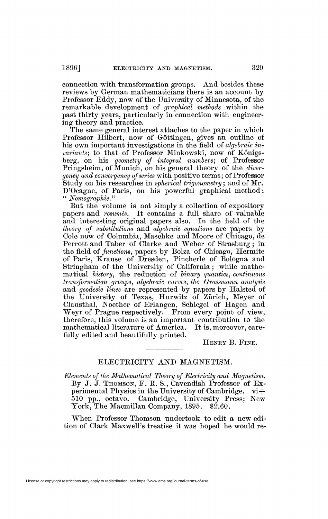connection with transformation groups. And besides these reviews by German mathematicians there is an account by Professor Eddy, now of the University of Minnesota, of the remarkable development of *graphical methods* within the past thirty years, particularly in connection with engineering theory and practice.

The same general interest attaches to the paper in which Professor Hubert, now of Göttingen, gives an outline of his own important investigations in the field of *algebraic invariants)* to that of Professor Minkowski, now of Königsberg, on his *geometry of integral numbers)* of Professor Pringsheim, of Munich, on his general theory of the *divergency and convergency of series* with positive terms; of Professor Study on his researches in *spherical trigonometry* ; and of Mr. D'Ocagne, of Paris, on his powerful graphical method : *u Nomographic"* 

But the volume is not simply a collection of expository papers and *resumes.* It contains a full share of valuable and interesting original papers also. In the field of the *theory of substitutions* and *algebraic equations* are papers by Cole now of Columbia, Maschke and Moore of Chicago, de Perrott and Taber of Clarke and Weber of Strasburg ; in the field of *functions,* papers by Bolza of Chicago, Hermite of Paris, Krause of Dresden, Pincherle of Bologna and Stringham of the University of California ; while mathematical *history,* the reduction of *binary quantics, continuous transformation groups, algebraic curves, the Grassmann analysis*  and *geodesic lines* are represented by papers by Halsted of the University of Texas, Hurwitz of Zürich, Meyer of Clausthal, Noether of Erlangen, Schlegel of Hagen and Weyr of Prague respectively. From every point of view, therefore, this volume is an important contribution to the mathematical literature of America. It is, moreover, carefully edited and beautifully printed.

HENRY B. FINE.

## ELECTRICITY AND MAGNETISM.

*Elements of the Mathematical Theory of Electricity and Magnetism.*  By J. J. THOMSON, F. R. S., Cavendish Professor of Experimental Physics in the University of Cambridge. vi+ 510 pp., octavo. Cambridge, University Press; New York, The Macmillan Company, 1895. \$2.60.

When Professor Thomson undertook to edit a new edition of Clark Maxwell's treatise it was hoped he would re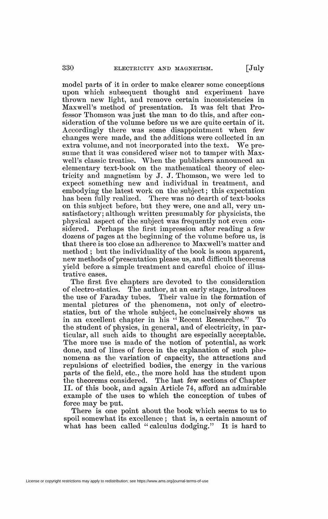model parts of it in order to make clearer some conceptions upon which subsequent thought and experiment have thrown new light, and remove certain inconsistencies in Maxwell's method of presentation. It was felt that Professor Thomson was just the man to do this, and after consideration of the volume before us we are quite certain of it. Accordingly there was some disappointment when few changes were made, and the additions were collected in an extra volume, and not incorporated into the text. We presume that it was considered wiser not to tamper with Maxwell's classic treatise. When the publishers announced an elementary text-book on the mathematical theory of electricity and magnetism by J. J. Thomson, we were led to expect something new and individual in treatment, and embodying the latest work on the subject ; this expectation has been fully realized. There was no dearth of text-books on this subject before, but they were, one and all, very unsatisfactory; although written presumably for physicists, the physical aspect of the subject was frequently not even considered. Perhaps the first impression after reading a few dozens of pages at the beginning of the volume before us, is that there is too close an adherence to Maxwell's matter and method ; but the individuality of the book is soon apparent, new methods of presentation please us, and difficult theorems yield before a simple treatment and careful choice of illustrative cases.

The first five chapters are devoted to the consideration of electro-statics. The author, at an early stage, introduces the use of Faraday tubes. Their value in the formation of mental pictures of the phenomena, not only of electrostatics, but of the whole subject, he conclusively shows us in an excellent chapter in his "Recent Researches." To the student of physics, in general, and of electricity, in particular, all such aids to thought are especially acceptable. The more use is made of the notion of potential, as work done, and of lines of force in the explanation of such phenomena as the variation of capacity, the attractions and repulsions of electrified bodies, the energy in the various parts of the field, etc., the more hold has the student upon the theorems considered. The last few sections of Chapter II. of this book, and again Article 74, afford an admirable example of the uses to which the conception of tubes of force may be put.

There is one point about the book which seems to us to spoil somewhat its excellence; that is, a certain amount of what has been called "calculus dodging." It is hard to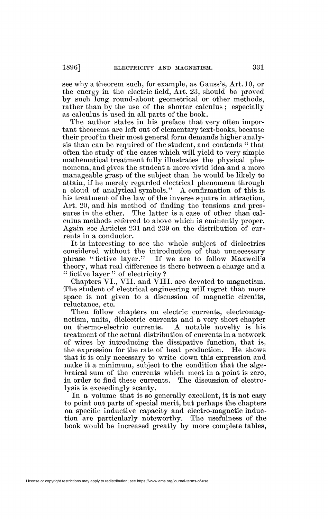see why a theorem such, for example, as Gauss's, Art. 10, or the energy in the electric field, Art. 23, should be proved by such long round-about geometrical or other methods, rather than by the use of the shorter calculus; especially as calculus is used in all parts of the book.

The author states in his preface that very often important theorems are left out of elementary text-books, because their proof in their most general form demands higher analysis than can be required of the student, and contends " that often the study of the cases which will yield to very simple mathematical treatment fully illustrates the physical phenomena, and gives the student a more vivid idea and a more manageable grasp of the subject than he would be likely to attain, if he merely regarded electrical phenomena through a cloud of analytical symbols." A confirmation of this is his treatment of the law of the inverse square in attraction, Art. 20, and his method of finding the tensions and pressures in the ether. The latter is a case of other than calculus methods referred to above which is eminently proper. Again see Articles 231 and 239 on the distribution of currents in a conductor.

It is interesting to see the whole subject of dielectrics considered without the introduction of that unnecessary<br>phrase "fictive layer." If we are to follow Maxwell's If we are to follow Maxwell's theory, what real difference is there between a charge and a " fictive layer" of electricity?

Chapters VI., VII. and VIII. are devoted to magnetism. The student of electrical engineering will regret that more space is not given to a discussion of magnetic circuits, reluctance, etc.

Then follow chapters on electric currents, electromagnetism, units, dielectric currents and a very short chapter on thermo-electric currents. A notable novelty is his treatment of the actual distribution of currents in a network of wires by introducing the dissipative function, that is, the expression for the rate of heat production. He shows that it is only necessary to write down this expression and make it a minimum, subject to the condition that the algebraical sum of the currents which meet in a point is zero, in order to find these currents. The discussion of electrolysis is exceedingly scanty.

In a volume that is so generally excellent, it is not easy to point out parts of special merit, but perhaps the chapters on specific inductive capacity and electro-magnetic induction are particularly noteworthy. The usefulness of the book would be increased greatly by more complete tables,